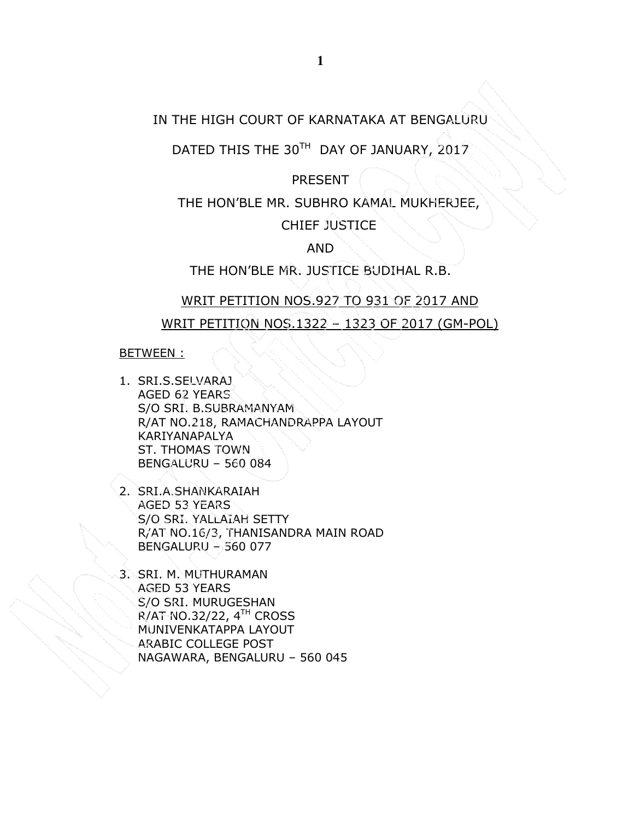## IN THE HIGH COURT OF KARNATAKA AT BENGALURU

DATED THIS THE 30TH DAY OF JANUARY, 2017

PRESENT

THE HON'BLE MR. SUBHRO KAMAL MUKHERJEE,

CHIEF JUSTICE

AND

THE HON'BLE MR. JUSTICE BUDIHAL R.B.

### WRIT PETITION NOS.927 TO 931 OF 2017 AND

WRIT PETITION NOS.1322 – 1323 OF 2017 (GM-POL)

#### BETWEEN :

- 1. SRI.S.SELVARAJ AGED 62 YEARS S/O SRI. B.SUBRAMANYAM R/AT NO.218, RAMACHANDRAPPA LAYOUT KARIYANAPALYA ST. THOMAS TOWN BENGALURU – 560 084
- 2. SRI.A.SHANKARAIAH AGED 53 YEARS S/O SRI. YALLAIAH SETTY R/AT NO.16/3, THANISANDRA MAIN ROAD BENGALURU – 560 077
- 3. SRI. M. MUTHURAMAN AGED 53 YEARS S/O SRI. MURUGESHAN  $R/AT$  NO.32/22,  $4<sup>TH</sup>$  CROSS MUNIVENKATAPPA LAYOUT ARABIC COLLEGE POST NAGAWARA, BENGALURU – 560 045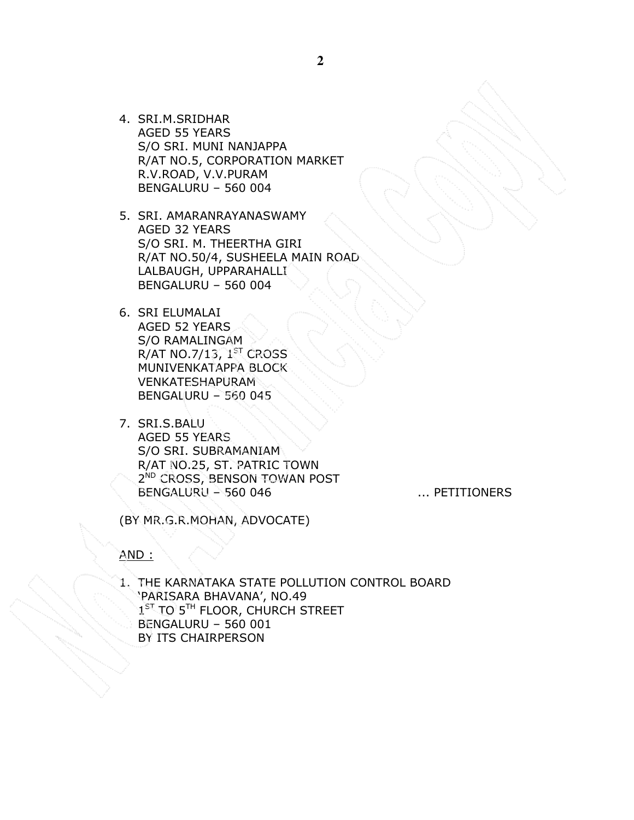4. SRI.M.SRIDHAR AGED 55 YEARS S/O SRI. MUNI NANJAPPA R/AT NO.5, CORPORATION MARKET R.V.ROAD, V.V.PURAM BENGALURU – 560 004

5. SRI. AMARANRAYANASWAMY AGED 32 YEARS S/O SRI. M. THEERTHA GIRI R/AT NO.50/4, SUSHEELA MAIN ROAD LALBAUGH, UPPARAHALLI BENGALURU – 560 004

6. SRI ELUMALAI AGED 52 YEARS S/O RAMALINGAM R/AT NO.7/13,  $1<sup>ST</sup>$  CROSS MUNIVENKATAPPA BLOCK VENKATESHAPURAM BENGALURU – 560 045

7. SRI.S.BALU AGED 55 YEARS S/O SRI. SUBRAMANIAM R/AT NO.25, ST. PATRIC TOWN 2<sup>ND</sup> CROSS, BENSON TOWAN POST BENGALURU – 560 046 ... PETITIONERS

(BY MR.G.R.MOHAN, ADVOCATE)

AND :

1. THE KARNATAKA STATE POLLUTION CONTROL BOARD 'PARISARA BHAVANA', NO.49 1<sup>ST</sup> TO 5<sup>TH</sup> FLOOR, CHURCH STREET BENGALURU – 560 001 BY ITS CHAIRPERSON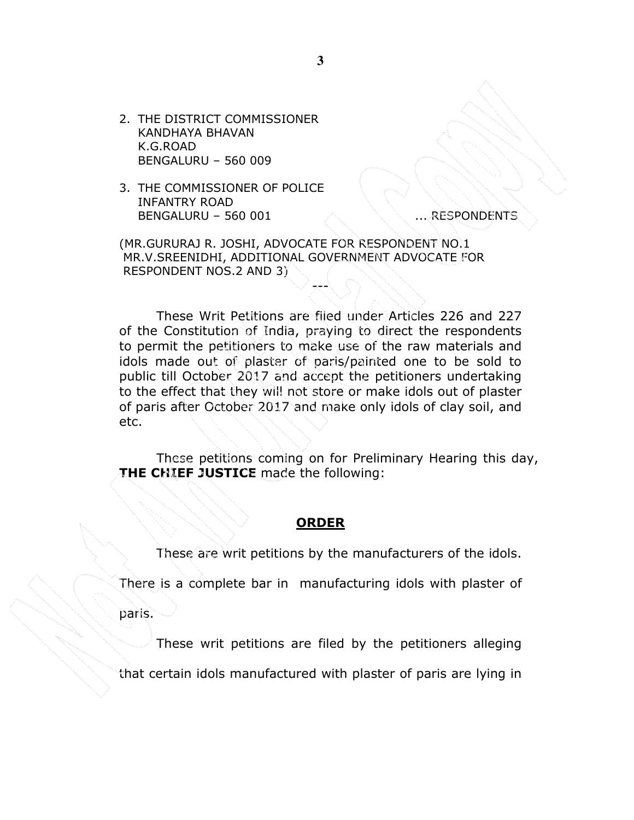2. THE DISTRICT COMMISSIONER KANDHAYA BHAVAN K.G.ROAD BENGALURU – 560 009

3. THE COMMISSIONER OF POLICE INFANTRY ROAD BENGALURU – 560 001 ... ... RESPONDENTS

(MR.GURURAJ R. JOSHI, ADVOCATE FOR RESPONDENT NO.1 MR.V.SREENIDHI, ADDITIONAL GOVERNMENT ADVOCATE FOR RESPONDENT NOS.2 AND 3)

These Writ Petitions are filed under Articles 226 and 227 of the Constitution of India, praying to direct the respondents to permit the petitioners to make use of the raw materials and idols made out of plaster of paris/painted one to be sold to public till October 2017 and accept the petitioners undertaking to the effect that they will not store or make idols out of plaster of paris after October 2017 and make only idols of clay soil, and etc.

---

These petitions coming on for Preliminary Hearing this day, THE CHIEF JUSTICE made the following:

### ORDER

These are writ petitions by the manufacturers of the idols.

There is a complete bar in manufacturing idols with plaster of

paris.

These writ petitions are filed by the petitioners alleging

that certain idols manufactured with plaster of paris are lying in